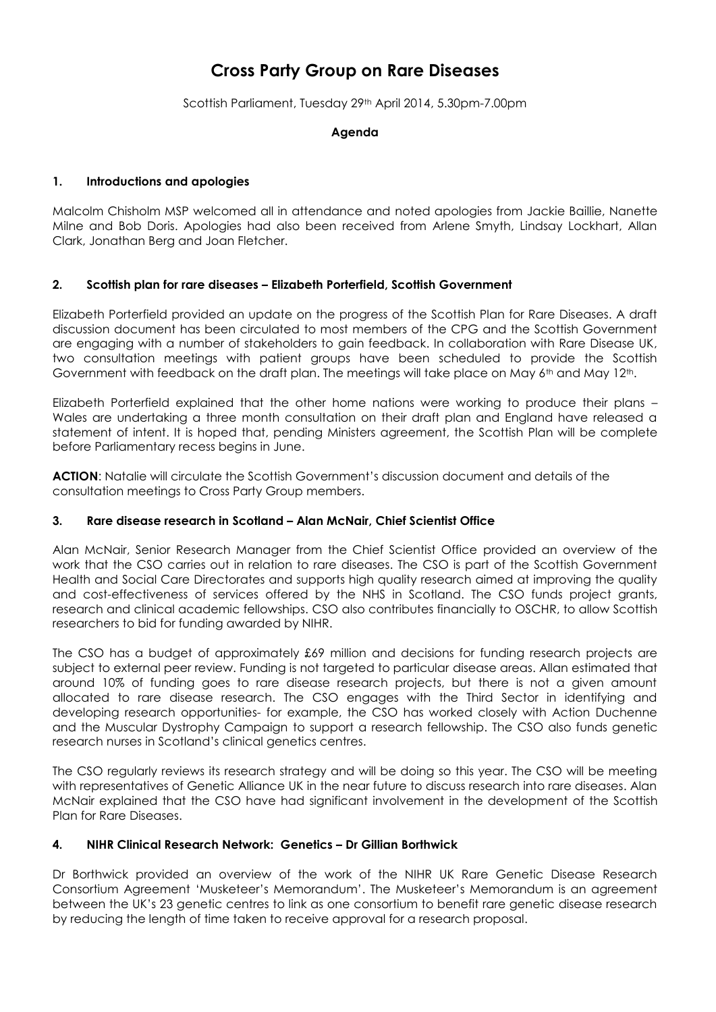# **Cross Party Group on Rare Diseases**

Scottish Parliament, Tuesday 29th April 2014, 5.30pm-7.00pm

#### **Agenda**

#### **1. Introductions and apologies**

Malcolm Chisholm MSP welcomed all in attendance and noted apologies from Jackie Baillie, Nanette Milne and Bob Doris. Apologies had also been received from Arlene Smyth, Lindsay Lockhart, Allan Clark, Jonathan Berg and Joan Fletcher.

#### **2. Scottish plan for rare diseases – Elizabeth Porterfield, Scottish Government**

Elizabeth Porterfield provided an update on the progress of the Scottish Plan for Rare Diseases. A draft discussion document has been circulated to most members of the CPG and the Scottish Government are engaging with a number of stakeholders to gain feedback. In collaboration with Rare Disease UK, two consultation meetings with patient groups have been scheduled to provide the Scottish Government with feedback on the draft plan. The meetings will take place on May  $6<sup>th</sup>$  and May 12<sup>th</sup>.

Elizabeth Porterfield explained that the other home nations were working to produce their plans – Wales are undertaking a three month consultation on their draft plan and England have released a statement of intent. It is hoped that, pending Ministers agreement, the Scottish Plan will be complete before Parliamentary recess begins in June.

**ACTION**: Natalie will circulate the Scottish Government's discussion document and details of the consultation meetings to Cross Party Group members.

#### **3. Rare disease research in Scotland – Alan McNair, Chief Scientist Office**

Alan McNair, Senior Research Manager from the Chief Scientist Office provided an overview of the work that the CSO carries out in relation to rare diseases. The CSO is part of the Scottish Government Health and Social Care Directorates and supports high quality research aimed at improving the quality and cost-effectiveness of services offered by the NHS in Scotland. The CSO funds project grants, research and clinical academic fellowships. CSO also contributes financially to OSCHR, to allow Scottish researchers to bid for funding awarded by NIHR.

The CSO has a budget of approximately £69 million and decisions for funding research projects are subject to external peer review. Funding is not targeted to particular disease areas. Allan estimated that around 10% of funding goes to rare disease research projects, but there is not a given amount allocated to rare disease research. The CSO engages with the Third Sector in identifying and developing research opportunities- for example, the CSO has worked closely with Action Duchenne and the Muscular Dystrophy Campaign to support a research fellowship. The CSO also funds genetic research nurses in Scotland's clinical genetics centres.

The CSO regularly reviews its research strategy and will be doing so this year. The CSO will be meeting with representatives of Genetic Alliance UK in the near future to discuss research into rare diseases. Alan McNair explained that the CSO have had significant involvement in the development of the Scottish Plan for Rare Diseases.

#### **4. NIHR Clinical Research Network: Genetics – Dr Gillian Borthwick**

Dr Borthwick provided an overview of the work of the NIHR UK Rare Genetic Disease Research Consortium Agreement 'Musketeer's Memorandum'. The Musketeer's Memorandum is an agreement between the UK's 23 genetic centres to link as one consortium to benefit rare genetic disease research by reducing the length of time taken to receive approval for a research proposal.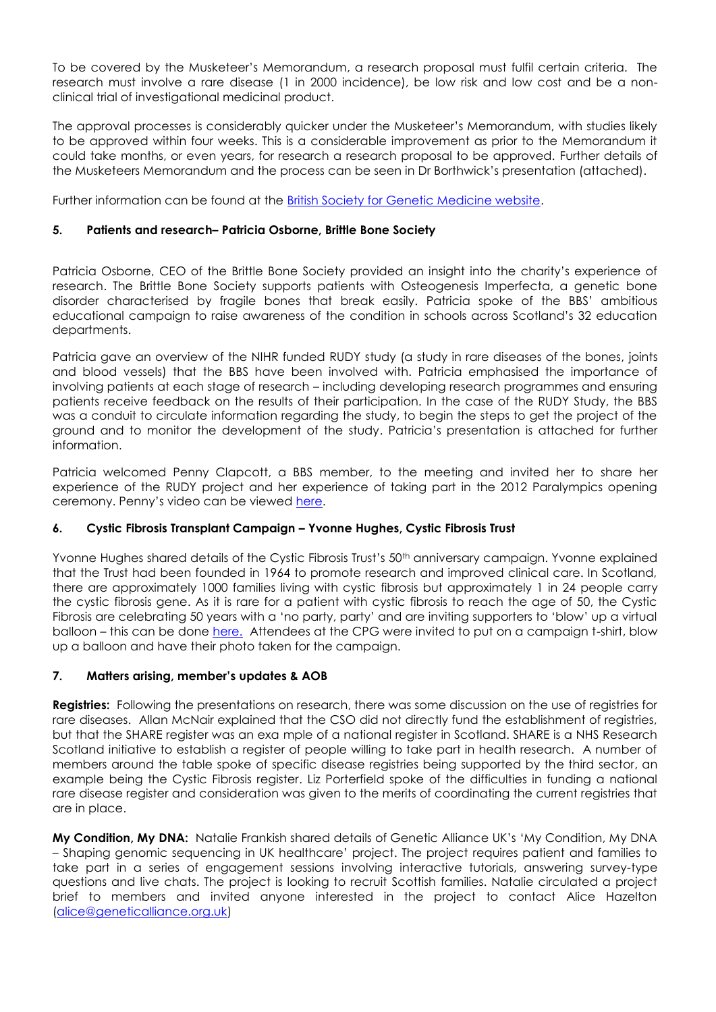To be covered by the Musketeer's Memorandum, a research proposal must fulfil certain criteria. The research must involve a rare disease (1 in 2000 incidence), be low risk and low cost and be a nonclinical trial of investigational medicinal product.

The approval processes is considerably quicker under the Musketeer's Memorandum, with studies likely to be approved within four weeks. This is a considerable improvement as prior to the Memorandum it could take months, or even years, for research a research proposal to be approved. Further details of the Musketeers Memorandum and the process can be seen in Dr Borthwick's presentation (attached).

Further information can be found at the **British Society for Genetic Medicine website.** 

#### **5. Patients and research– Patricia Osborne, Brittle Bone Society**

Patricia Osborne, CEO of the Brittle Bone Society provided an insight into the charity's experience of research. The Brittle Bone Society supports patients with Osteogenesis Imperfecta, a genetic bone disorder characterised by fragile bones that break easily. Patricia spoke of the BBS' ambitious educational campaign to raise awareness of the condition in schools across Scotland's 32 education departments.

Patricia gave an overview of the NIHR funded RUDY study (a study in rare diseases of the bones, joints and blood vessels) that the BBS have been involved with. Patricia emphasised the importance of involving patients at each stage of research – including developing research programmes and ensuring patients receive feedback on the results of their participation. In the case of the RUDY Study, the BBS was a conduit to circulate information regarding the study, to begin the steps to get the project of the ground and to monitor the development of the study. Patricia's presentation is attached for further information.

Patricia welcomed Penny Clapcott, a BBS member, to the meeting and invited her to share her experience of the RUDY project and her experience of taking part in the 2012 Paralympics opening ceremony. Penny's video can be viewed [here.](http://youtu.be/aCESSO97Q9c)

## **6. Cystic Fibrosis Transplant Campaign – Yvonne Hughes, Cystic Fibrosis Trust**

Yvonne Hughes shared details of the Cystic Fibrosis Trust's 50<sup>th</sup> anniversary campaign. Yvonne explained that the Trust had been founded in 1964 to promote research and improved clinical care. In Scotland, there are approximately 1000 families living with cystic fibrosis but approximately 1 in 24 people carry the cystic fibrosis gene. As it is rare for a patient with cystic fibrosis to reach the age of 50, the Cystic Fibrosis are celebrating 50 years with a 'no party, party' and are inviting supporters to 'blow' up a virtual balloon – this can be done [here.](http://noparty.cysticfibrosis.org.uk/) Attendees at the CPG were invited to put on a campaign t-shirt, blow up a balloon and have their photo taken for the campaign.

## **7. Matters arising, member's updates & AOB**

**Registries:** Following the presentations on research, there was some discussion on the use of registries for rare diseases. Allan McNair explained that the CSO did not directly fund the establishment of registries, but that the SHARE register was an exa mple of a national register in Scotland. SHARE is a NHS Research Scotland initiative to establish a register of people willing to take part in health research. A number of members around the table spoke of specific disease registries being supported by the third sector, an example being the Cystic Fibrosis register. Liz Porterfield spoke of the difficulties in funding a national rare disease register and consideration was given to the merits of coordinating the current registries that are in place.

**My Condition, My DNA:** Natalie Frankish shared details of Genetic Alliance UK's 'My Condition, My DNA – Shaping genomic sequencing in UK healthcare' project. The project requires patient and families to take part in a series of engagement sessions involving interactive tutorials, answering survey-type questions and live chats. The project is looking to recruit Scottish families. Natalie circulated a project brief to members and invited anyone interested in the project to contact Alice Hazelton [\(alice@geneticalliance.org.uk\)](mailto:alice@geneticalliance.org.uk)